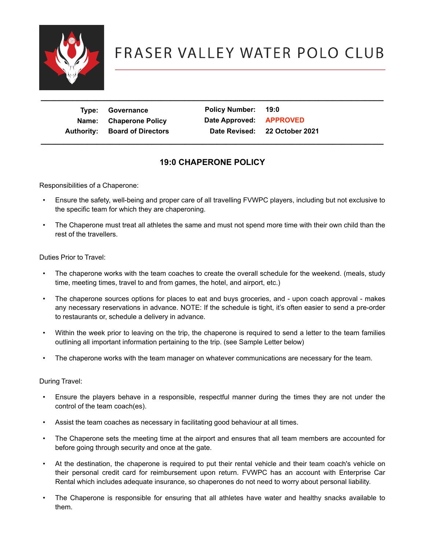

| Type:      | Governance                |
|------------|---------------------------|
| Name:      | <b>Chaperone Policy</b>   |
| Authority: | <b>Board of Directors</b> |

**Policy Number: 19:0 Date Approved: APPROVED Authority: Board of Directors Date Revised: 22 October 2021 \_\_\_\_\_\_\_\_\_\_\_\_\_\_\_\_\_\_\_\_\_\_\_\_\_\_\_\_\_\_\_\_\_\_\_\_\_\_\_\_\_\_\_\_\_\_\_\_\_\_\_\_\_\_\_\_\_\_\_\_\_\_\_\_\_\_\_\_\_\_\_\_\_\_**

### **19:0 CHAPERONE POLICY**

Responsibilities of a Chaperone:

- Ensure the safety, well-being and proper care of all travelling FVWPC players, including but not exclusive to the specific team for which they are chaperoning.
- The Chaperone must treat all athletes the same and must not spend more time with their own child than the rest of the travellers.

Duties Prior to Travel:

- The chaperone works with the team coaches to create the overall schedule for the weekend. (meals, study time, meeting times, travel to and from games, the hotel, and airport, etc.)
- The chaperone sources options for places to eat and buys groceries, and upon coach approval makes any necessary reservations in advance. NOTE: If the schedule is tight, it's often easier to send a pre-order to restaurants or, schedule a delivery in advance.
- Within the week prior to leaving on the trip, the chaperone is required to send a letter to the team families outlining all important information pertaining to the trip. (see Sample Letter below)
- The chaperone works with the team manager on whatever communications are necessary for the team.

During Travel:

- Ensure the players behave in a responsible, respectful manner during the times they are not under the control of the team coach(es).
- Assist the team coaches as necessary in facilitating good behaviour at all times.
- The Chaperone sets the meeting time at the airport and ensures that all team members are accounted for before going through security and once at the gate.
- At the destination, the chaperone is required to put their rental vehicle and their team coach's vehicle on their personal credit card for reimbursement upon return. FVWPC has an account with Enterprise Car Rental which includes adequate insurance, so chaperones do not need to worry about personal liability.
- The Chaperone is responsible for ensuring that all athletes have water and healthy snacks available to them.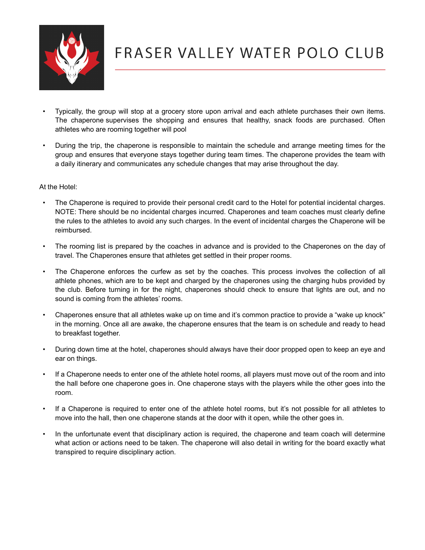

- Typically, the group will stop at a grocery store upon arrival and each athlete purchases their own items. The chaperone supervises the shopping and ensures that healthy, snack foods are purchased. Often athletes who are rooming together will pool
- During the trip, the chaperone is responsible to maintain the schedule and arrange meeting times for the group and ensures that everyone stays together during team times. The chaperone provides the team with a daily itinerary and communicates any schedule changes that may arise throughout the day.

#### At the Hotel:

- The Chaperone is required to provide their personal credit card to the Hotel for potential incidental charges. NOTE: There should be no incidental charges incurred. Chaperones and team coaches must clearly define the rules to the athletes to avoid any such charges. In the event of incidental charges the Chaperone will be reimbursed.
- The rooming list is prepared by the coaches in advance and is provided to the Chaperones on the day of travel. The Chaperones ensure that athletes get settled in their proper rooms.
- The Chaperone enforces the curfew as set by the coaches. This process involves the collection of all athlete phones, which are to be kept and charged by the chaperones using the charging hubs provided by the club. Before turning in for the night, chaperones should check to ensure that lights are out, and no sound is coming from the athletes' rooms.
- Chaperones ensure that all athletes wake up on time and it's common practice to provide a "wake up knock" in the morning. Once all are awake, the chaperone ensures that the team is on schedule and ready to head to breakfast together.
- During down time at the hotel, chaperones should always have their door propped open to keep an eye and ear on things.
- If a Chaperone needs to enter one of the athlete hotel rooms, all players must move out of the room and into the hall before one chaperone goes in. One chaperone stays with the players while the other goes into the room.
- If a Chaperone is required to enter one of the athlete hotel rooms, but it's not possible for all athletes to move into the hall, then one chaperone stands at the door with it open, while the other goes in.
- In the unfortunate event that disciplinary action is required, the chaperone and team coach will determine what action or actions need to be taken. The chaperone will also detail in writing for the board exactly what transpired to require disciplinary action.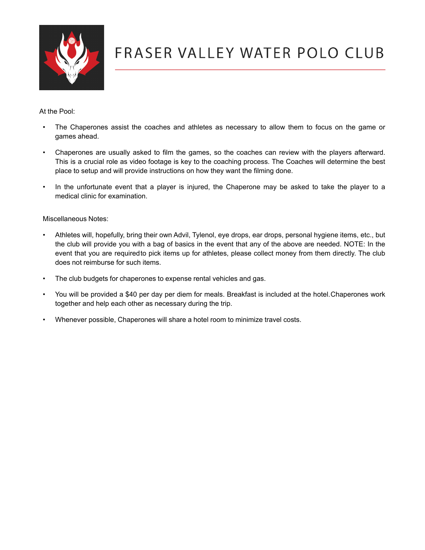

At the Pool:

- The Chaperones assist the coaches and athletes as necessary to allow them to focus on the game or games ahead.
- Chaperones are usually asked to film the games, so the coaches can review with the players afterward. This is a crucial role as video footage is key to the coaching process. The Coaches will determine the best place to setup and will provide instructions on how they want the filming done.
- In the unfortunate event that a player is injured, the Chaperone may be asked to take the player to a medical clinic for examination.

Miscellaneous Notes:

- Athletes will, hopefully, bring their own Advil, Tylenol, eye drops, ear drops, personal hygiene items, etc., but the club will provide you with a bag of basics in the event that any of the above are needed. NOTE: In the event that you are requiredto pick items up for athletes, please collect money from them directly. The club does not reimburse for such items.
- The club budgets for chaperones to expense rental vehicles and gas.
- You will be provided a \$40 per day per diem for meals. Breakfast is included at the hotel.Chaperones work together and help each other as necessary during the trip.
- Whenever possible, Chaperones will share a hotel room to minimize travel costs.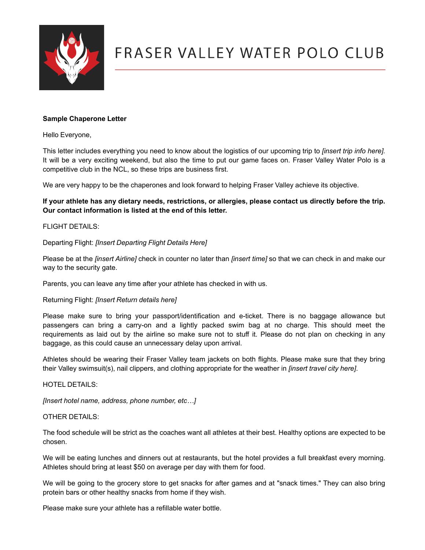

#### **Sample Chaperone Letter**

Hello Everyone,

This letter includes everything you need to know about the logistics of our upcoming trip to *[insert trip info here].*  It will be a very exciting weekend, but also the time to put our game faces on. Fraser Valley Water Polo is a competitive club in the NCL, so these trips are business first.

We are very happy to be the chaperones and look forward to helping Fraser Valley achieve its objective.

If your athlete has any dietary needs, restrictions, or allergies, please contact us directly before the trip. **Our contact information is listed at the end of this letter.**

#### FLIGHT DETAILS:

Departing Flight: *[Insert Departing Flight Details Here]*

Please be at the *[insert Airline]* check in counter no later than *[insert time]* so that we can check in and make our way to the security gate.

Parents, you can leave any time after your athlete has checked in with us.

#### Returning Flight: *[Insert Return details here]*

Please make sure to bring your passport/identification and e-ticket. There is no baggage allowance but passengers can bring a carry-on and a lightly packed swim bag at no charge. This should meet the requirements as laid out by the airline so make sure not to stuff it. Please do not plan on checking in any baggage, as this could cause an unnecessary delay upon arrival.

Athletes should be wearing their Fraser Valley team jackets on both flights. Please make sure that they bring their Valley swimsuit(s), nail clippers, and clothing appropriate for the weather in *[insert travel city here]*.

#### HOTEL DETAILS:

*[Insert hotel name, address, phone number, etc…]*

#### OTHER DETAILS:

The food schedule will be strict as the coaches want all athletes at their best. Healthy options are expected to be chosen.

We will be eating lunches and dinners out at restaurants, but the hotel provides a full breakfast every morning. Athletes should bring at least \$50 on average per day with them for food.

We will be going to the grocery store to get snacks for after games and at "snack times." They can also bring protein bars or other healthy snacks from home if they wish.

Please make sure your athlete has a refillable water bottle.